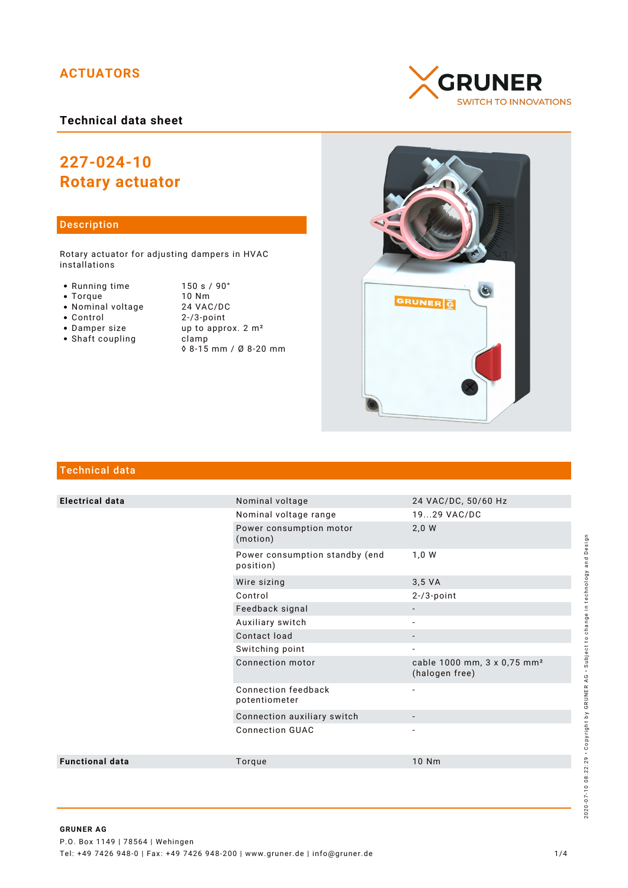# **ACTUATORS**

## **Technical data sheet**

# **227-024-10 Rotary actuator**

#### Description

Rotary actuator for adjusting dampers in HVAC installations

- Running time 150 s / 90°<br>• Torque 10 Nm
- 
- Nominal voltage<br>• Control
- 
- 
- $\bullet$  Shaft coupling
- Torque 10 Nm<br>• Nominal voltage 24 VAC/DC  $2 - / 3$ -point • Damper size up to approx. 2 m<sup>2</sup><br>• Shaft coupling clamp ◊ 8-15 mm / Ø 8-20 mm





### Technical data

| <b>Electrical data</b> | Nominal voltage                             | 24 VAC/DC, 50/60 Hz                                       |
|------------------------|---------------------------------------------|-----------------------------------------------------------|
|                        | Nominal voltage range                       | 1929 VAC/DC                                               |
|                        | Power consumption motor<br>(motion)         | 2,0 W                                                     |
|                        | Power consumption standby (end<br>position) | 1,0 W                                                     |
|                        | Wire sizing                                 | 3.5 VA                                                    |
|                        | Control                                     | $2-73$ -point                                             |
|                        | Feedback signal                             |                                                           |
|                        | Auxiliary switch                            |                                                           |
|                        | Contact load                                | $\overline{\phantom{a}}$                                  |
|                        | Switching point                             | $\overline{\phantom{a}}$                                  |
|                        | Connection motor                            | cable 1000 mm, 3 x 0,75 mm <sup>2</sup><br>(halogen free) |
|                        | Connection feedback<br>potentiometer        | $\overline{\phantom{a}}$                                  |
|                        | Connection auxiliary switch                 |                                                           |
|                        | <b>Connection GUAC</b>                      |                                                           |
| <b>Functional data</b> | Torque                                      | 10 Nm                                                     |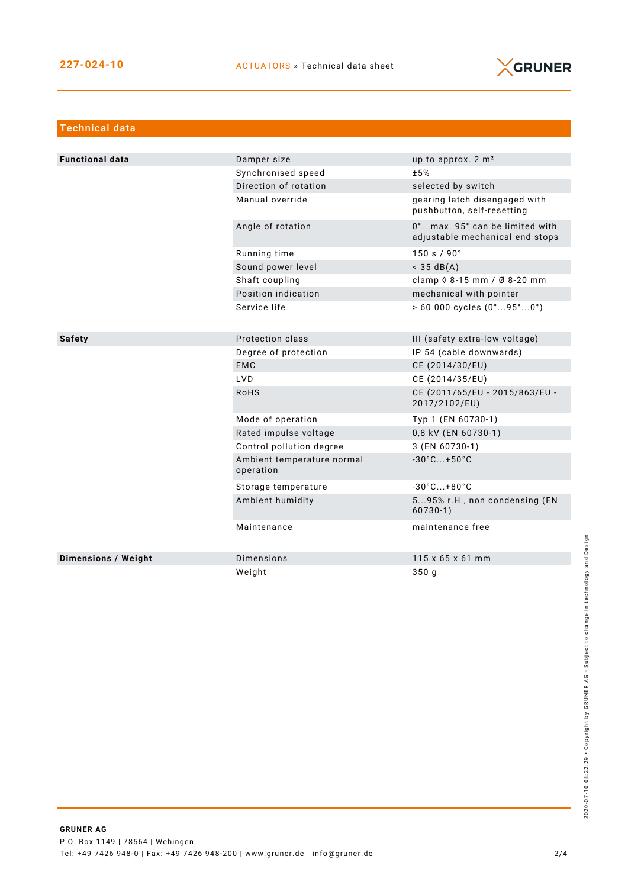

| <b>Technical data</b>  |                                         |                                                                   |
|------------------------|-----------------------------------------|-------------------------------------------------------------------|
|                        |                                         |                                                                   |
| <b>Functional data</b> | Damper size                             | up to approx. 2 m <sup>2</sup>                                    |
|                        | Synchronised speed                      | ±5%                                                               |
|                        | Direction of rotation                   | selected by switch                                                |
|                        | Manual override                         | gearing latch disengaged with<br>pushbutton, self-resetting       |
|                        | Angle of rotation                       | 0°max. 95° can be limited with<br>adjustable mechanical end stops |
|                        | Running time                            | 150 s / 90°                                                       |
|                        | Sound power level                       | $<$ 35 dB(A)                                                      |
|                        | Shaft coupling                          | clamp $\sqrt{6}$ 8-15 mm / Ø 8-20 mm                              |
|                        | Position indication                     | mechanical with pointer                                           |
|                        | Service life                            | $> 60000$ cycles $(0^{\circ}95^{\circ}0^{\circ})$                 |
| <b>Safety</b>          | Protection class                        | III (safety extra-low voltage)                                    |
|                        | Degree of protection                    | IP 54 (cable downwards)                                           |
|                        | <b>EMC</b>                              | CE (2014/30/EU)                                                   |
|                        | <b>LVD</b>                              | CE (2014/35/EU)                                                   |
|                        | <b>RoHS</b>                             | CE (2011/65/EU - 2015/863/EU -<br>2017/2102/EU)                   |
|                        | Mode of operation                       | Typ 1 (EN 60730-1)                                                |
|                        | Rated impulse voltage                   | 0,8 kV (EN 60730-1)                                               |
|                        | Control pollution degree                | 3 (EN 60730-1)                                                    |
|                        | Ambient temperature normal<br>operation | $-30^{\circ}$ C +50 $^{\circ}$ C                                  |
|                        | Storage temperature                     | $-30^{\circ}$ C +80 $^{\circ}$ C                                  |
|                        | Ambient humidity                        | 595% r.H., non condensing (EN<br>$60730-1)$                       |
|                        | Maintenance                             | maintenance free                                                  |
| Dimensions / Weight    | <b>Dimensions</b>                       | 115 x 65 x 61 mm                                                  |
|                        | Weight                                  | 350 <sub>q</sub>                                                  |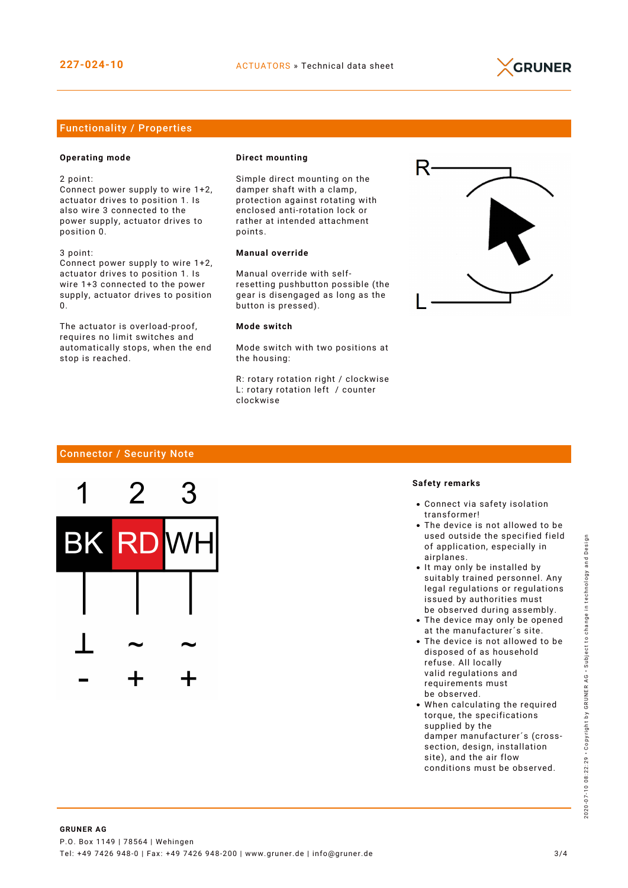

#### Functionality / Properties

#### **Operating mode**

2 point:

Connect power supply to wire 1+2, actuator drives to position 1. Is also wire 3 connected to the power supply, actuator drives to position 0.

3 point: Connect power supply to wire 1+2,

actuator drives to position 1. Is wire 1+3 connected to the power supply, actuator drives to position  $\Omega$ 

The actuator is overload-proof, requires no limit switches and automatically stops, when the end stop is reached.

#### **Direct mounting**

Simple direct mounting on the damper shaft with a clamp, protection against rotating with enclosed anti-rotation lock or rather at intended attachment points.

#### **Manual override**

Manual override with selfresetting pushbutton possible (the gear is disengaged as long as the button is pressed).

#### **Mode switch**

Mode switch with two positions at the housing:

R: rotary rotation right / clockwise L: rotary rotation left / counter clockwise



#### Connector / Security Note



#### **Safety remarks**

- Connect via safety isolation transformer!
- The device is not allowed to be used outside the specified field of application, especially in airplanes.
- It may only be installed by suitably trained personnel. Any legal regulations or regulations issued by authorities must be observed during assembly.
- The device may only be opened at the manufacturer´s site.
- The device is not allowed to be disposed of as household refuse. All locally valid regulations and requirements must be observed.
- When calculating the required torque, the specifications supplied by the damper manufacturer´s (crosssection, design, installation site), and the air flow conditions must be observed.